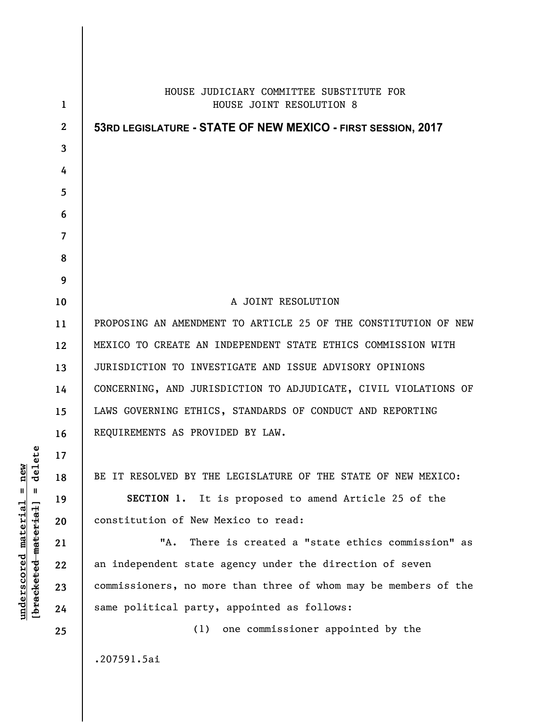|                  | HOUSE JUDICIARY COMMITTEE SUBSTITUTE FOR                        |
|------------------|-----------------------------------------------------------------|
| 1                | HOUSE JOINT RESOLUTION 8                                        |
| $\boldsymbol{2}$ | 53RD LEGISLATURE - STATE OF NEW MEXICO - FIRST SESSION, 2017    |
| 3                |                                                                 |
| 4                |                                                                 |
| 5                |                                                                 |
| 6                |                                                                 |
| 7                |                                                                 |
| 8<br>9           |                                                                 |
| 10               | A JOINT RESOLUTION                                              |
| 11               | PROPOSING AN AMENDMENT TO ARTICLE 25 OF THE CONSTITUTION OF NEW |
| 12               | MEXICO TO CREATE AN INDEPENDENT STATE ETHICS COMMISSION WITH    |
| 13               | JURISDICTION TO INVESTIGATE AND ISSUE ADVISORY OPINIONS         |
| 14               | CONCERNING, AND JURISDICTION TO ADJUDICATE, CIVIL VIOLATIONS OF |
| 15               | LAWS GOVERNING ETHICS, STANDARDS OF CONDUCT AND REPORTING       |
| 16               | REQUIREMENTS AS PROVIDED BY LAW.                                |
| 17               |                                                                 |
| 18               | BE IT RESOLVED BY THE LEGISLATURE OF THE STATE OF NEW MEXICO:   |
| 19               | SECTION 1. It is proposed to amend Article 25 of the            |
| 20               | constitution of New Mexico to read:                             |
| 21               | "A.<br>There is created a "state ethics commission" as          |
| 22               | an independent state agency under the direction of seven        |
| 23               | commissioners, no more than three of whom may be members of the |
| 24               | same political party, appointed as follows:                     |
| 25               | one commissioner appointed by the<br>(1)                        |
|                  | .207591.5ai                                                     |

 $[**bracket eted metert et**] = **del et e**$ **[bracketed material] = delete**  $underscored material = new$ **underscored material = new**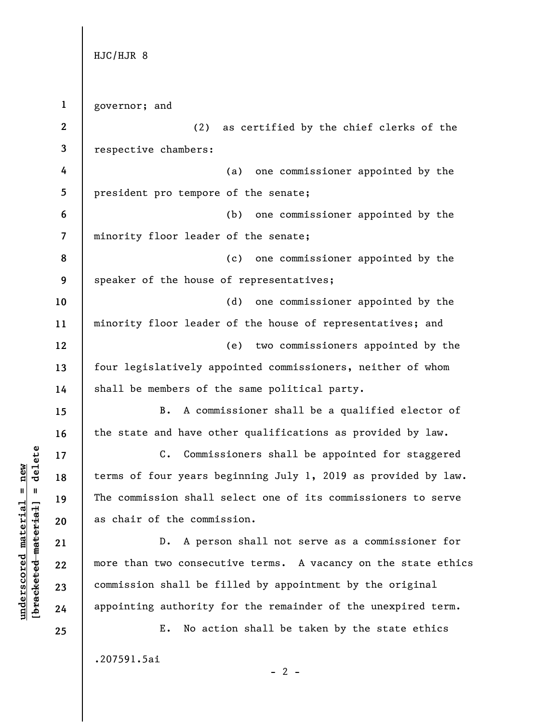HJC/HJR 8

**1 2 3 4 5 6 7 8 9 10 11 12 13 14 15 16 17 18 19 20 21 22 23 24 25**  governor; and (2) as certified by the chief clerks of the respective chambers: (a) one commissioner appointed by the president pro tempore of the senate; (b) one commissioner appointed by the minority floor leader of the senate; (c) one commissioner appointed by the speaker of the house of representatives; (d) one commissioner appointed by the minority floor leader of the house of representatives; and (e) two commissioners appointed by the four legislatively appointed commissioners, neither of whom shall be members of the same political party. B. A commissioner shall be a qualified elector of the state and have other qualifications as provided by law. C. Commissioners shall be appointed for staggered terms of four years beginning July 1, 2019 as provided by law. The commission shall select one of its commissioners to serve as chair of the commission. D. A person shall not serve as a commissioner for more than two consecutive terms. A vacancy on the state ethics commission shall be filled by appointment by the original appointing authority for the remainder of the unexpired term. E. No action shall be taken by the state ethics .207591.5ai

 $b$ racketed material] = delete **[bracketed material] = delete**  $underscored material = new$ **underscored material = new**

 $- 2 -$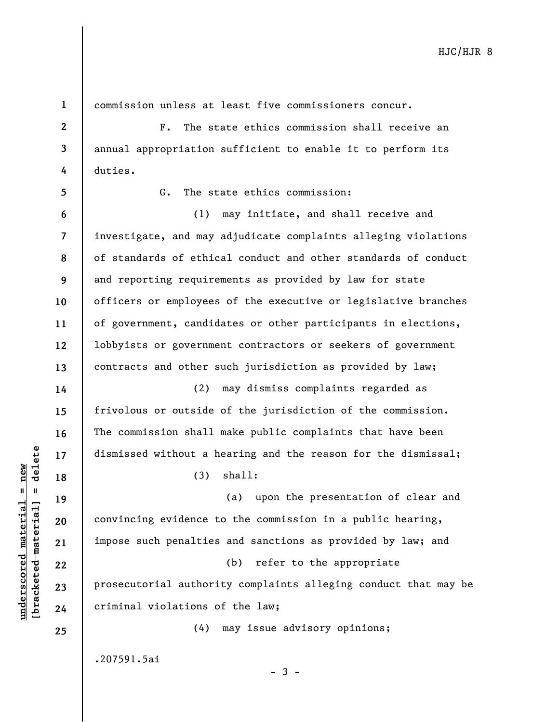**1 2 3 4**  duties. **5 6 7 8 9 10 11 12 13 14 15 16**   $b$ racketed material] = delete **[bracketed material] = delete 17**   $underscored material = new$ **underscored material = new 18 19 20 21 22 23 24 25** 

commission unless at least five commissioners concur.

F. The state ethics commission shall receive an annual appropriation sufficient to enable it to perform its

G. The state ethics commission:

(1) may initiate, and shall receive and investigate, and may adjudicate complaints alleging violations of standards of ethical conduct and other standards of conduct and reporting requirements as provided by law for state officers or employees of the executive or legislative branches of government, candidates or other participants in elections, lobbyists or government contractors or seekers of government contracts and other such jurisdiction as provided by law;

(2) may dismiss complaints regarded as frivolous or outside of the jurisdiction of the commission. The commission shall make public complaints that have been dismissed without a hearing and the reason for the dismissal;

(3) shall:

(a) upon the presentation of clear and convincing evidence to the commission in a public hearing, impose such penalties and sanctions as provided by law; and (b) refer to the appropriate prosecutorial authority complaints alleging conduct that may be criminal violations of the law;

(4) may issue advisory opinions;

.207591.5ai

 $-3 -$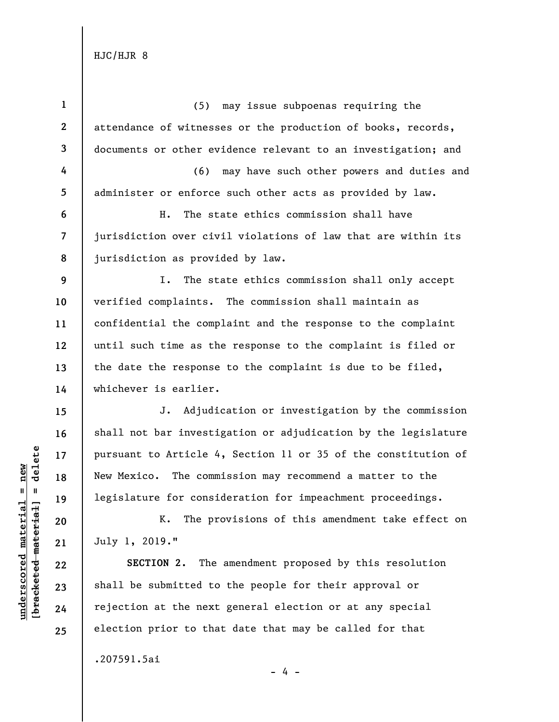HJC/HJR 8

**1 2 3 4 5 6 7 8 9 10 11 12 13 14 15 16 17 18 19 20 21 22 23 24 25**  (5) may issue subpoenas requiring the attendance of witnesses or the production of books, records, documents or other evidence relevant to an investigation; and (6) may have such other powers and duties and administer or enforce such other acts as provided by law. H. The state ethics commission shall have jurisdiction over civil violations of law that are within its jurisdiction as provided by law. I. The state ethics commission shall only accept verified complaints. The commission shall maintain as confidential the complaint and the response to the complaint until such time as the response to the complaint is filed or the date the response to the complaint is due to be filed, whichever is earlier. J. Adjudication or investigation by the commission shall not bar investigation or adjudication by the legislature pursuant to Article 4, Section 11 or 35 of the constitution of New Mexico. The commission may recommend a matter to the legislature for consideration for impeachment proceedings. K. The provisions of this amendment take effect on July 1, 2019." **SECTION 2.** The amendment proposed by this resolution shall be submitted to the people for their approval or rejection at the next general election or at any special election prior to that date that may be called for that

- 4 -

.207591.5ai

 $b$ racketed material] = delete **[bracketed material] = delete**  $underscored material = new$ **underscored material = new**